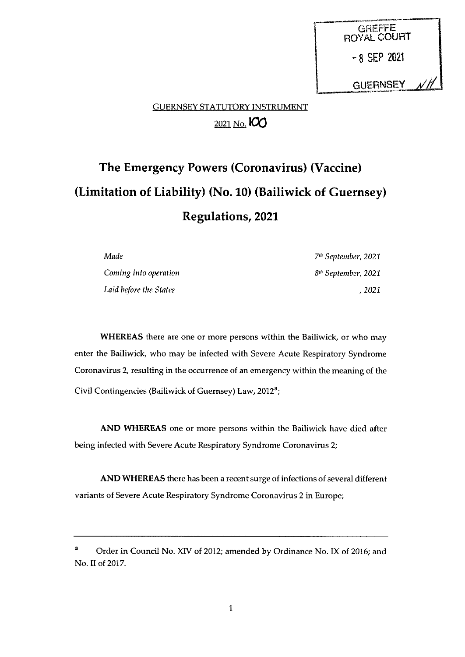| <b>GREFFE</b><br><b>ROYAL COURT</b> |
|-------------------------------------|
| $-8$ SEP 2021                       |
| <b>GUERNSEY</b>                     |

# GUERNSEY STATUTORY INSTRUMENT 2021 No. **ICO**

# The Emergency Powers (Coronavirus) (Vaccine) (Limitation of Liability) (No. 10) (Bailiwick of Guernsey) Regulations, 2021

| Made                   | 7 <sup>th</sup> September, 2021 |
|------------------------|---------------------------------|
| Coming into operation  | 8 <sup>th</sup> September, 2021 |
| Laid before the States | . 2021                          |

WHEREAS there are one or more persons within the Bailiwick, or who may enter the Bailiwick, who may be infected with Severe Acute Respiratory Syndrome Coronavirus 2, resulting in the occurrence of an emergency within the meaning of the Civil Contingencies (Bailiwick of Guernsey) Law, 2012<sup>a</sup>;

AND WHEREAS one or more persons within the Bailiwick have died after being infected with Severe Acute Respiratory Syndrome Coronavirus 2;

AND WHEREAS there has been a recent surge of infections of several different variants of Severe Acute Respiratory Syndrome Coronavirus 2 in Europe;

<sup>&</sup>lt;sup>a</sup> Order in Council No. XIV of 2012; amended by Ordinance No. IX of 2016; and No. II of 2017.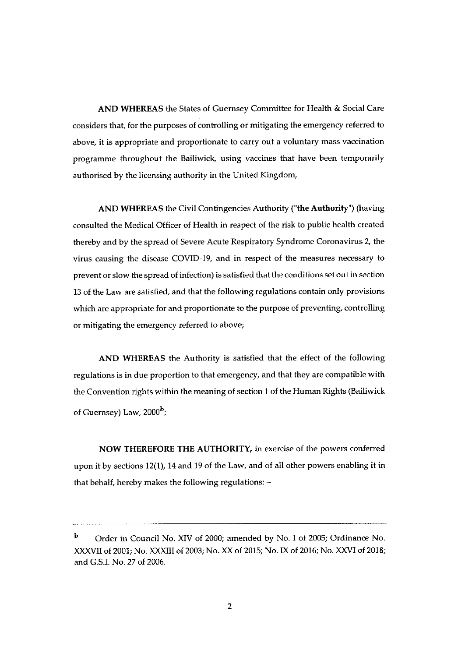AND WHEREAS the States of Guernsey Committee for Health & Social Care considers that, for the purposes of controlling or mitigating the emergency referred to above, it is appropriate and proportionate to carry out a voluntary mass vaccination programme throughout the Bailiwick, using vaccines that have been temporarily authorised by the licensing authority in the United Kingdom,

AND WHEREAS the Civil Contingencies Authority ("the Authority') (having consulted the Medical Officer of Health in respect of the risk to public health created thereby and by the spread of Severe Acute Respiratory Syndrome Coronavirus 2, the virus causing the disease COVID-19, and in respect of the measures necessary to prevent or slow the spread of infection) is satisfied that the conditions set out in section 13 of the Law are satisfied, and that the following regulations contain only provisions which are appropriate for and proportionate to the purpose of preventing, controlling or mitigating the emergency referred to above;

AND WHEREAS the Authority is satisfied that the effect of the following regulations is in due proportion to that emergency, and that they are compatible with the Convention rights within the meaning of section <sup>1</sup> of the Human Rights (Bailiwick of Guernsey) Law, 2000<sup>b</sup>;

NOW THEREFORE THE AUTHORITY, in exercise of the powers conferred upon it by sections 12(1), 14 and 19 of the Law, and of all other powers enabling it in that behalf, hereby makes the following regulations: —

<sup>b</sup> Order in Council No. XIV of 2000; amended by No. <sup>I</sup> of 2005; Ordinance No. XXXVII of 2001; No. XXXIII of 2003; No. XX of 2015; No. IX of 2016; No. XXVI of 2018; and G.S.I. No. 27 of 2006.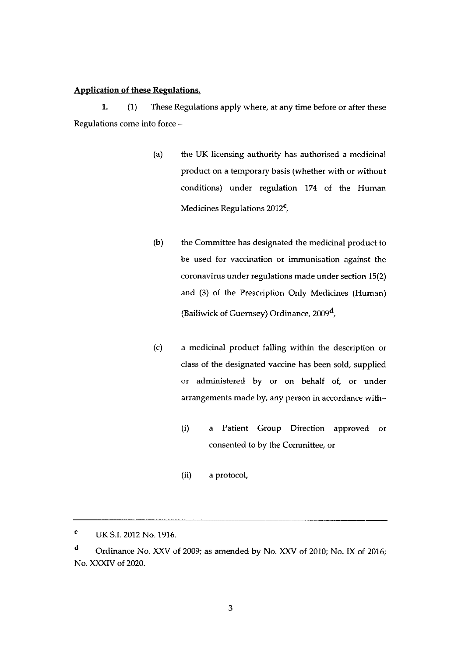# Application of these Regulations.

1. (1) These Regulations apply where, at any time before or after these Regulations come into force —

- (a) the UK licensing authority has authorised a medicinal product on a temporary basis (whether with or without conditions) under regulation 174 of the Human Medicines Regulations 2012<sup>c</sup>,
- (b) the Committee has designated the medicinal product to be used for vaccination or immunisation against the coronavirus under regulations made under section 15(2) and (3) of the Prescription Only Medicines (Human) (Bailiwick of Guernsey) Ordinance, 2OO9',
- (c) a medicinal product falling within the description or class of the designated vaccine has been sold, supplied or administered by or on behalf of, or under arrangements made by, any person in accordance with—
	- (i) a Patient Group Direction approved or consented to by the Committee, or
	- (ii) a protocol,

<sup>C</sup> UK S.I. 2012 No. 1916.

d Ordinance No.  $XXV$  of 2009; as amended by No.  $XXV$  of 2010; No. IX of 2016; No. XXXIV of 2020.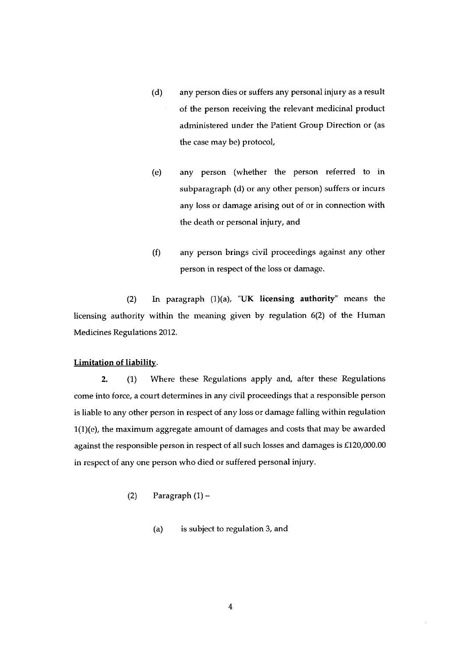- (d) any person dies or suffers any personal injury as a result of the person receiving the relevant medicinal product administered under the Patient Group Direction or (as the case may be) protocol,
- (e) any person (whether the person referred to in subparagraph (d) or any other person) suffers or incurs any loss or damage arising out of or in connection with the death or personal injury, and
- (f) any person brings civil proceedings against any other person in respect of the loss or damage.

(2) In paragraph (1)(a), "UK licensing authority' means the licensing authority within the meaning given by regulation 6(2) of the Human Medicines Regulations 2012.

#### Limitation of liability.

2. (1) Where these Regulations apply and, after these Regulations come into force, a court determines in any civil proceedings that a responsible person is liable to any other person in respect of any loss or damage falling within regulation 1(1)(e), the maximum aggregate amount of damages and costs that may be awarded against the responsible person in respect of all such losses and damages is £120,000.00 in respect of any one person who died or suffered personal injury.

- (2) Paragraph  $(1)$ 
	- (a) is subject to regulation 3, and

 $\overline{\phantom{a}}$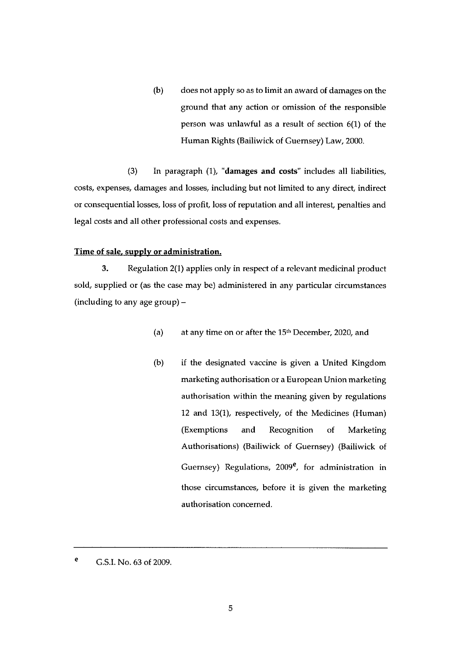(b) does not apply so as to limit an award of damages on the ground that any action or omission of the responsible person was unlawful as a result of section 6(1) of the Human Rights (Bailiwick of Guernsey) Law, 2000.

(3) In paragraph (1), 'damages and costs' includes all liabilities, costs, expenses, damages and losses, including but not limited to any direct indirect or consequential losses, loss of profit, loss of reputation and all interest, penalties and legal costs and all other professional costs and expenses.

# Time of sale, supply or administration.

3. Regulation 2(1) applies only in respect of a relevant medicinal product sold, supplied or (as the case may be) administered in any particular circumstances (including to any age group) —

- (a) at any time on or after the  $15<sup>th</sup>$  December, 2020, and
- (b) if the designated vaccine is given a United Kingdom marketing authorisation or a European Union marketing authorisation within the meaning given by regulations 12 and 13(1), respectively, of the Medicines (Human) (Exemptions and Recognition of Marketing Authorisations) (Bailiwick of Guernsey) (Bailiwick of Guernsey) Regulations,  $2009^e$ , for administration in those circumstances, before it is given the marketing authorisation concerned.

<sup>e</sup> G.S.I. No. 63 of 2009.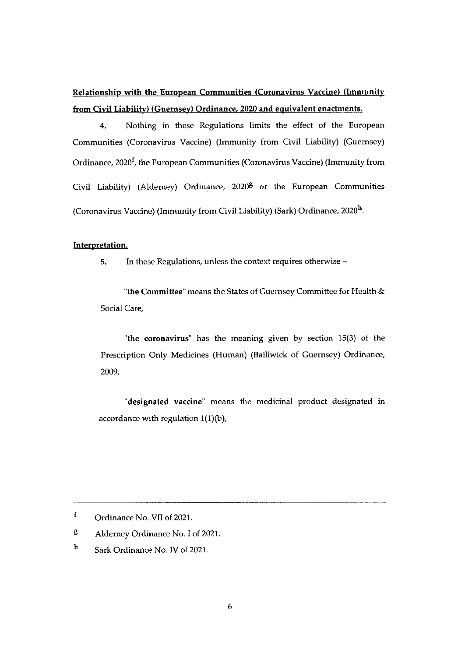Relationship with the European Communities (Coronavirus Vaccine) (Immunity from Civil Liability) (Guernsey) Ordinance. 2020 and equivalent enactments.

4. Nothing in these Regulations limits the effect of the European Communities (Coronavirus Vaccine) (Immunity from Civil Liability) (Guernsey) Ordinance, 2020<sup>f</sup>, the European Communities (Coronavirus Vaccine) (Immunity from Civil Liability) (Alderney) Ordinance, 2020<sup>8</sup> or the European Communities (Coronavirus Vaccine) (Immunity from Civil Liability) (Sark) Ordinance, 2020<sup>h</sup>.

# Interpretation.

5. In these Regulations, unless the context requires otherwise —

"the Committee" means the States of Guernsey Committee for Health & Social Care,

'the coronavirus" has the meaning given by section 15(3) of the Prescription Only Medicines (Human) (Bailiwick of Guernsey) Ordinance, 2009,

"designated vaccine' means the medicinal product designated in accordance with regulation 1(1)(b),

h Sark Ordinance No. IV of 2021.

 $\mathbf f$ Ordinance No. VII of 2021.

<sup>8</sup> Alderney Ordinance No. I of 2021.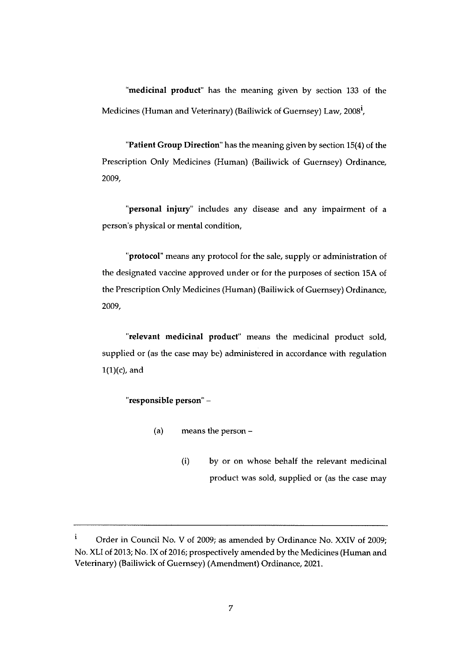'medicinal product" has the meaning given by section 133 of the Medicines (Human and Veterinary) (Bailiwick of Guernsey) Law, 2008',

"Patient Group Direction" has the meaning given by section 15(4) of the Prescription Only Medicines (Human) (Bailiwick of Guernsey) Ordinance, 2009,

"personal injury" includes any disease and any impairment of a person's physical or mental condition,

"protocol" means any protocol for the sale, supply or administration of the designated vaccine approved under or for the purposes of section 15A of the Prescription Only Medicines (Human) (Bailiwick of Guernsey) Ordinance, 2009,

"relevant medicinal product" means the medicinal product sold, supplied or (as the case may be) administered in accordance with regulation 1(1)(c), and

"responsible person" —

- (a) means the person
	- (i) by or on whose behalf the relevant medicinal product was sold, supplied or (as the case may

i Order in Council No. V of 2009; as amended by Ordinance No. XXIV of 2009; No. XLI of 2013; No. IX of 2016; prospectively amended by the Medicines (Human and Veterinary) (Bailiwick of Guernsey) (Amendment) Ordinance, 2021.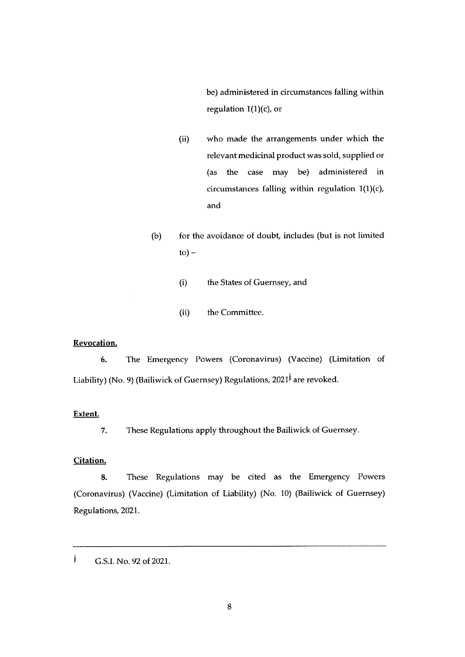be) administered in circumstances falling within regulation 1(1)(c), or

- (ii) who made the arrangements under which the relevant medicinal product was sold, supplied or (as the case may be) administered in circumstances falling within regulation  $1(1)(c)$ , and
- (b) for the avoidance of doubt, includes (but is not limited  $to) -$ 
	- (i) the States of Guernsey, and
	- (ii) the Committee.

#### Revocation.

6. The Emergency Powers (Coronavirus) (Vaccine) (Limitation of Liability) (No. 9) (Bailiwick of Guernsey) Regulations, 2021<sup>j</sup> are revoked.

#### Extent.

7. These Regulations apply throughout the Bailiwick of Guernsey.

## Citation.

8. These Regulations may be cited as the Emergency Powers (Coronavirus) (Vaccine) (Limitation of Liability) (No. 10) (Bailiwick of Guernsey) Regulations, 2021.

 $\mathbf{j}$ G.S.I. No.92 of 2021.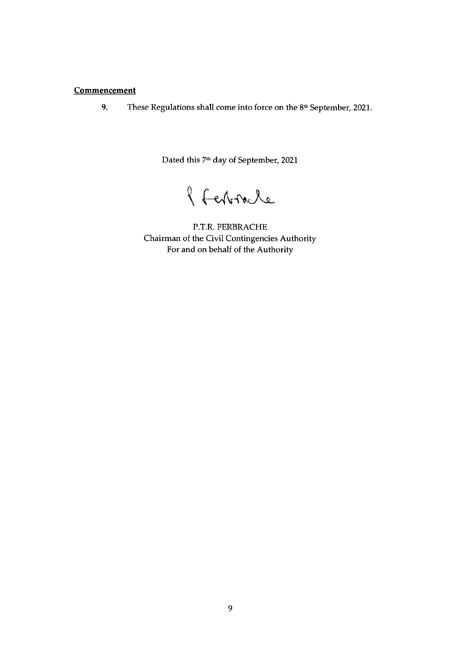# **Commencement**

9. These Regulations shall come into force on the 8<sup>th</sup> September, 2021.

Dated this 7th day of September, 2021

l Ferbracle

P.T.R. FERBRACHE Chairman of the Civil Contingencies Authority For and on behalf of the Authority